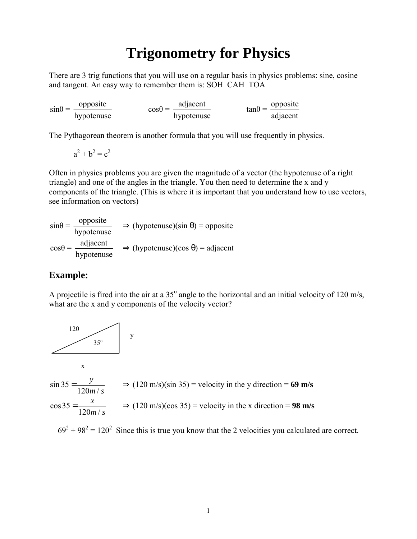# **Trigonometry for Physics**

There are 3 trig functions that you will use on a regular basis in physics problems: sine, cosine and tangent. An easy way to remember them is: SOH CAH TOA

 $sin\theta = \frac{opposite}{hypotenuse}$   $cos\theta = \frac{adjacent}{hypotenuse}$   $tan\theta = \frac{opposite}{adjacent}$ 

The Pythagorean theorem is another formula that you will use frequently in physics.

 $a^2 + b^2 = c^2$ 

Often in physics problems you are given the magnitude of a vector (the hypotenuse of a right triangle) and one of the angles in the triangle. You then need to determine the x and y components of the triangle. (This is where it is important that you understand how to use vectors, see information on vectors)

 $sin\theta = \frac{opposite}{hypotenuse}$  $\Rightarrow$  (hypotenuse)(sin  $\theta$ ) = opposite  $cos\theta = \frac{\text{adjacent}}{\text{hypotenuse}}$   $\Rightarrow$  (hypotenuse)(cos  $\theta$ ) = adjacent

### **Example:**

A projectile is fired into the air at a  $35^{\circ}$  angle to the horizontal and an initial velocity of 120 m/s, what are the x and y components of the velocity vector?



 $69^2 + 98^2 = 120^2$  Since this is true you know that the 2 velocities you calculated are correct.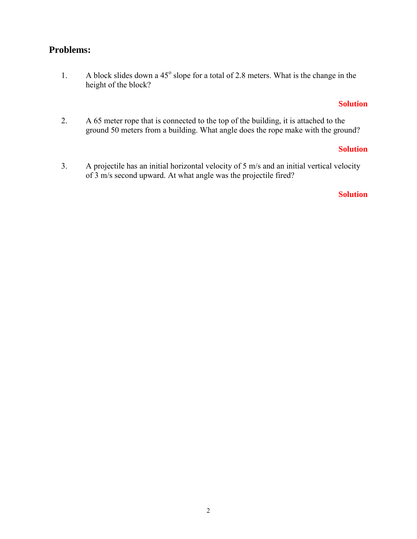## <span id="page-1-0"></span>**Problems:**

1. A block slides down a  $45^{\circ}$  slope for a total of 2.8 meters. What is the change in the height of the block?

#### **[Solution](#page-2-0)**

2. A 65 meter rope that is connected to the top of the building, it is attached to the ground 50 meters from a building. What angle does the rope make with the ground?

#### **[Solution](#page-3-0)**

3. A projectile has an initial horizontal velocity of 5 m/s and an initial vertical velocity of 3 m/s second upward. At what angle was the projectile fired?

#### **[Solution](#page-4-0)**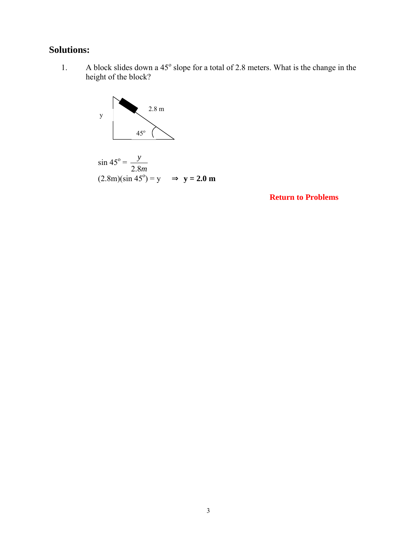# <span id="page-2-0"></span>**Solutions:**

1. A block slides down a  $45^{\circ}$  slope for a total of 2.8 meters. What is the change in the height of the block?



**[Return to Problems](#page-1-0)**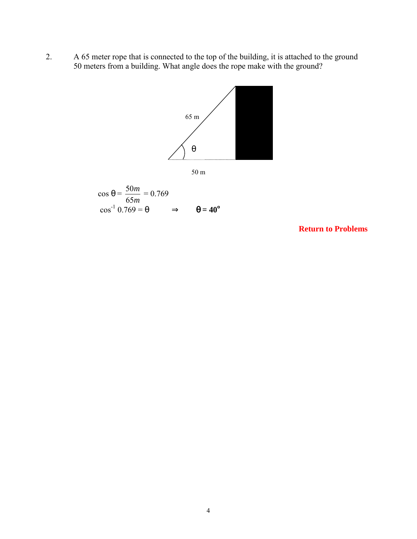<span id="page-3-0"></span>2. A 65 meter rope that is connected to the top of the building, it is attached to the ground 50 meters from a building. What angle does the rope make with the ground?





$$
\cos \theta = \frac{50m}{65m} = 0.769
$$

$$
\cos^{-1} 0.769 = \theta \implies \theta = 40^{\circ}
$$

**[Return to Problems](#page-1-0)**